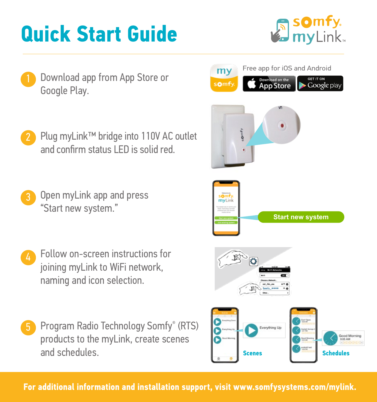# **Quick Start Guide**



- Download app from App Store or Google Play.
- Plug myLink™ bridge into 110V AC outlet and confirm status LED is solid red. 2
- Open myLink app and press "Start new system." 3
- Follow on-screen instructions for joining myLink to WiFi network, naming and icon selection.
- Program Radio Technology Somfy® (RTS) products to the myLink, create scenes and schedules. 5



**Scenes Schedules** 

**For additional information and installation support, visit www.somfysystems.com/mylink.**